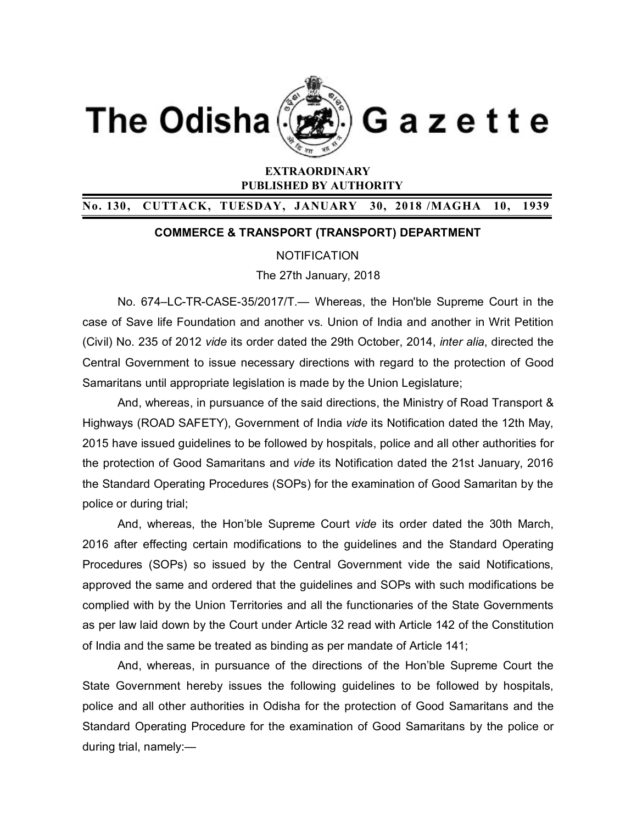



Gazette

# **EXTRAORDINARY PUBLISHED BY AUTHORITY**

## **No. 130, CUTTACK, TUESDAY, JANUARY 30, 2018 /MAGHA 10, 1939**

### **COMMERCE & TRANSPORT (TRANSPORT) DEPARTMENT**

#### **NOTIFICATION**

#### The 27th January, 2018

No. 674–LC-TR-CASE-35/2017/T.— Whereas, the Hon'ble Supreme Court in the case of Save life Foundation and another vs. Union of India and another in Writ Petition (Civil) No. 235 of 2012 *vide* its order dated the 29th October, 2014, *inter alia*, directed the Central Government to issue necessary directions with regard to the protection of Good Samaritans until appropriate legislation is made by the Union Legislature;

And, whereas, in pursuance of the said directions, the Ministry of Road Transport & Highways (ROAD SAFETY), Government of India *vide* its Notification dated the 12th May, 2015 have issued guidelines to be followed by hospitals, police and all other authorities for the protection of Good Samaritans and *vide* its Notification dated the 21st January, 2016 the Standard Operating Procedures (SOPs) for the examination of Good Samaritan by the police or during trial;

And, whereas, the Hon'ble Supreme Court *vide* its order dated the 30th March, 2016 after effecting certain modifications to the guidelines and the Standard Operating Procedures (SOPs) so issued by the Central Government vide the said Notifications, approved the same and ordered that the guidelines and SOPs with such modifications be complied with by the Union Territories and all the functionaries of the State Governments as per law laid down by the Court under Article 32 read with Article 142 of the Constitution of India and the same be treated as binding as per mandate of Article 141;

And, whereas, in pursuance of the directions of the Hon'ble Supreme Court the State Government hereby issues the following guidelines to be followed by hospitals, police and all other authorities in Odisha for the protection of Good Samaritans and the Standard Operating Procedure for the examination of Good Samaritans by the police or during trial, namely:—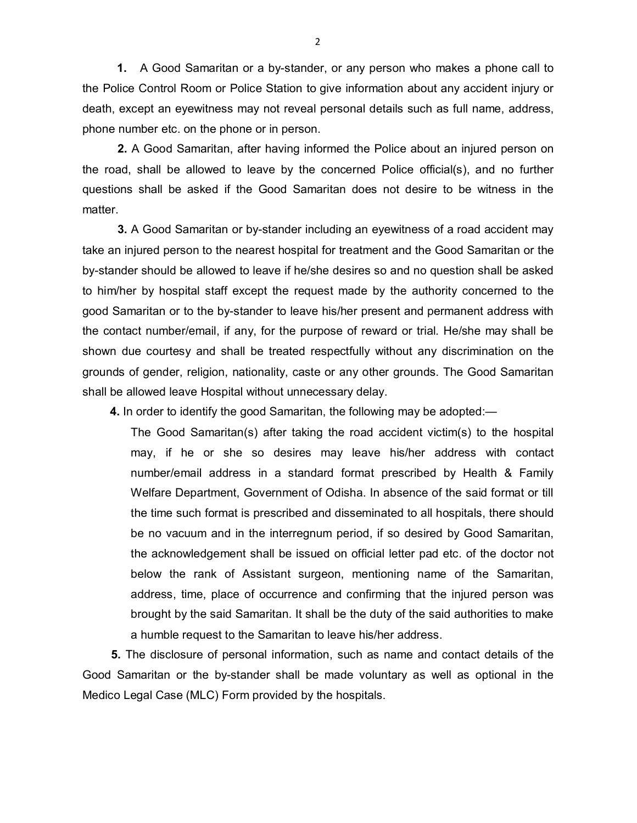**1.** A Good Samaritan or a by-stander, or any person who makes a phone call to the Police Control Room or Police Station to give information about any accident injury or death, except an eyewitness may not reveal personal details such as full name, address, phone number etc. on the phone or in person.

**2.** A Good Samaritan, after having informed the Police about an injured person on the road, shall be allowed to leave by the concerned Police official(s), and no further questions shall be asked if the Good Samaritan does not desire to be witness in the matter.

**3.** A Good Samaritan or by-stander including an eyewitness of a road accident may take an injured person to the nearest hospital for treatment and the Good Samaritan or the by-stander should be allowed to leave if he/she desires so and no question shall be asked to him/her by hospital staff except the request made by the authority concerned to the good Samaritan or to the by-stander to leave his/her present and permanent address with the contact number/email, if any, for the purpose of reward or trial*.* He/she may shall be shown due courtesy and shall be treated respectfully without any discrimination on the grounds of gender, religion, nationality, caste or any other grounds. The Good Samaritan shall be allowed leave Hospital without unnecessary delay.

**4.** In order to identify the good Samaritan, the following may be adopted:—

The Good Samaritan(s) after taking the road accident victim(s) to the hospital may, if he or she so desires may leave his/her address with contact number/email address in a standard format prescribed by Health & Family Welfare Department, Government of Odisha. In absence of the said format or till the time such format is prescribed and disseminated to all hospitals, there should be no vacuum and in the interregnum period, if so desired by Good Samaritan, the acknowledgement shall be issued on official letter pad etc. of the doctor not below the rank of Assistant surgeon, mentioning name of the Samaritan, address, time, place of occurrence and confirming that the injured person was brought by the said Samaritan. It shall be the duty of the said authorities to make a humble request to the Samaritan to leave his/her address.

**5.** The disclosure of personal information, such as name and contact details of the Good Samaritan or the by-stander shall be made voluntary as well as optional in the Medico Legal Case (MLC) Form provided by the hospitals.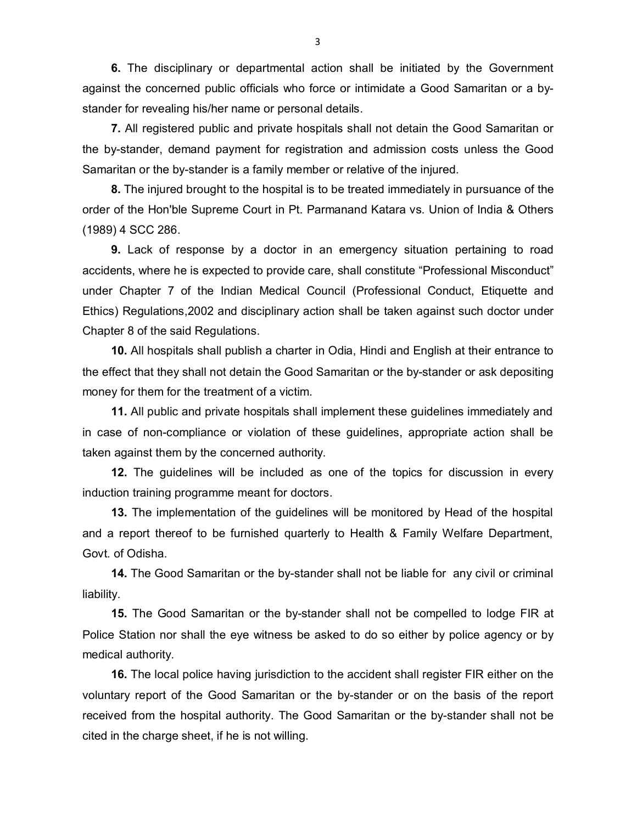**6.** The disciplinary or departmental action shall be initiated by the Government against the concerned public officials who force or intimidate a Good Samaritan or a bystander for revealing his/her name or personal details.

**7.** All registered public and private hospitals shall not detain the Good Samaritan or the by-stander, demand payment for registration and admission costs unless the Good Samaritan or the by-stander is a family member or relative of the injured.

**8.** The injured brought to the hospital is to be treated immediately in pursuance of the order of the Hon'ble Supreme Court in Pt. Parmanand Katara vs. Union of India & Others (1989) 4 SCC 286.

**9.** Lack of response by a doctor in an emergency situation pertaining to road accidents, where he is expected to provide care, shall constitute "Professional Misconduct" under Chapter 7 of the Indian Medical Council (Professional Conduct, Etiquette and Ethics) Regulations,2002 and disciplinary action shall be taken against such doctor under Chapter 8 of the said Regulations.

**10.** All hospitals shall publish a charter in Odia, Hindi and English at their entrance to the effect that they shall not detain the Good Samaritan or the by-stander or ask depositing money for them for the treatment of a victim.

**11.** All public and private hospitals shall implement these guidelines immediately and in case of non-compliance or violation of these guidelines, appropriate action shall be taken against them by the concerned authority.

**12.** The guidelines will be included as one of the topics for discussion in every induction training programme meant for doctors.

**13.** The implementation of the guidelines will be monitored by Head of the hospital and a report thereof to be furnished quarterly to Health & Family Welfare Department, Govt. of Odisha.

**14.** The Good Samaritan or the by-stander shall not be liable for any civil or criminal liability.

**15.** The Good Samaritan or the by-stander shall not be compelled to lodge FIR at Police Station nor shall the eye witness be asked to do so either by police agency or by medical authority.

**16.** The local police having jurisdiction to the accident shall register FIR either on the voluntary report of the Good Samaritan or the by-stander or on the basis of the report received from the hospital authority. The Good Samaritan or the by-stander shall not be cited in the charge sheet, if he is not willing.

3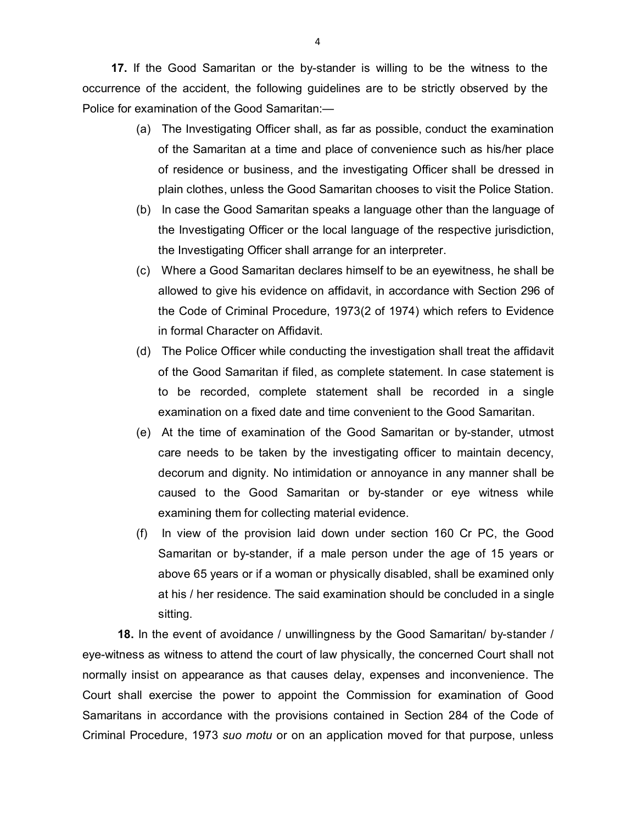**17.** If the Good Samaritan or the by-stander is willing to be the witness to the occurrence of the accident, the following guidelines are to be strictly observed by the Police for examination of the Good Samaritan:—

- (a) The Investigating Officer shall, as far as possible, conduct the examination of the Samaritan at a time and place of convenience such as his/her place of residence or business, and the investigating Officer shall be dressed in plain clothes, unless the Good Samaritan chooses to visit the Police Station.
- (b) In case the Good Samaritan speaks a language other than the language of the Investigating Officer or the local language of the respective jurisdiction, the Investigating Officer shall arrange for an interpreter.
- (c) Where a Good Samaritan declares himself to be an eyewitness, he shall be allowed to give his evidence on affidavit, in accordance with Section 296 of the Code of Criminal Procedure, 1973(2 of 1974) which refers to Evidence in formal Character on Affidavit.
- (d) The Police Officer while conducting the investigation shall treat the affidavit of the Good Samaritan if filed, as complete statement. In case statement is to be recorded, complete statement shall be recorded in a single examination on a fixed date and time convenient to the Good Samaritan.
- (e) At the time of examination of the Good Samaritan or by-stander, utmost care needs to be taken by the investigating officer to maintain decency, decorum and dignity. No intimidation or annoyance in any manner shall be caused to the Good Samaritan or by-stander or eye witness while examining them for collecting material evidence.
- (f) In view of the provision laid down under section 160 Cr PC, the Good Samaritan or by-stander, if a male person under the age of 15 years or above 65 years or if a woman or physically disabled, shall be examined only at his / her residence. The said examination should be concluded in a single sitting.

**18.** In the event of avoidance / unwillingness by the Good Samaritan/ by-stander / eye-witness as witness to attend the court of law physically, the concerned Court shall not normally insist on appearance as that causes delay, expenses and inconvenience. The Court shall exercise the power to appoint the Commission for examination of Good Samaritans in accordance with the provisions contained in Section 284 of the Code of Criminal Procedure, 1973 *suo motu* or on an application moved for that purpose, unless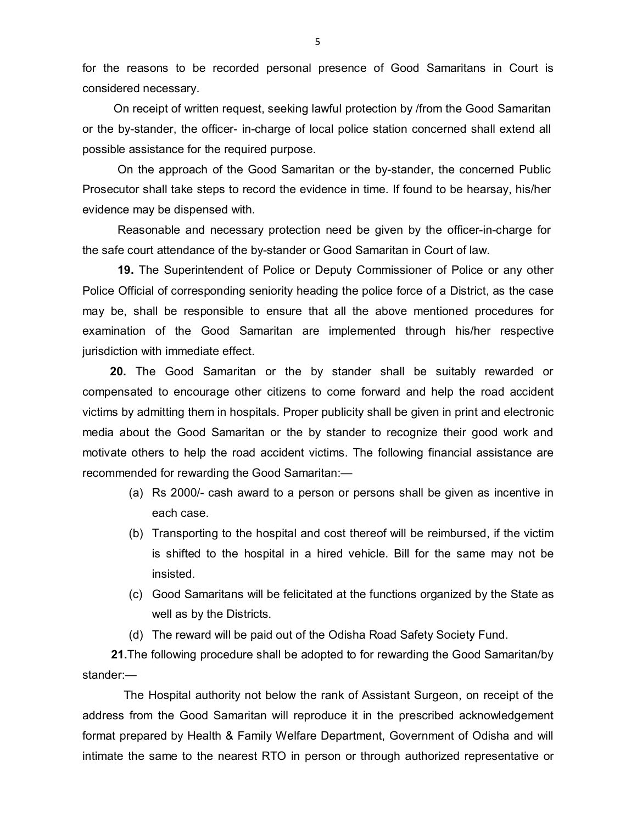for the reasons to be recorded personal presence of Good Samaritans in Court is considered necessary.

 On receipt of written request, seeking lawful protection by /from the Good Samaritan or the by-stander, the officer- in-charge of local police station concerned shall extend all possible assistance for the required purpose.

On the approach of the Good Samaritan or the by-stander, the concerned Public Prosecutor shall take steps to record the evidence in time. If found to be hearsay, his/her evidence may be dispensed with.

Reasonable and necessary protection need be given by the officer-in-charge for the safe court attendance of the by-stander or Good Samaritan in Court of law.

**19.** The Superintendent of Police or Deputy Commissioner of Police or any other Police Official of corresponding seniority heading the police force of a District, as the case may be, shall be responsible to ensure that all the above mentioned procedures for examination of the Good Samaritan are implemented through his/her respective jurisdiction with immediate effect.

**20.** The Good Samaritan or the by stander shall be suitably rewarded or compensated to encourage other citizens to come forward and help the road accident victims by admitting them in hospitals. Proper publicity shall be given in print and electronic media about the Good Samaritan or the by stander to recognize their good work and motivate others to help the road accident victims. The following financial assistance are recommended for rewarding the Good Samaritan:—

- (a) Rs 2000/- cash award to a person or persons shall be given as incentive in each case.
- (b) Transporting to the hospital and cost thereof will be reimbursed, if the victim is shifted to the hospital in a hired vehicle. Bill for the same may not be insisted.
- (c) Good Samaritans will be felicitated at the functions organized by the State as well as by the Districts.
- (d) The reward will be paid out of the Odisha Road Safety Society Fund.

**21.**The following procedure shall be adopted to for rewarding the Good Samaritan/by stander:—

The Hospital authority not below the rank of Assistant Surgeon, on receipt of the address from the Good Samaritan will reproduce it in the prescribed acknowledgement format prepared by Health & Family Welfare Department, Government of Odisha and will intimate the same to the nearest RTO in person or through authorized representative or

5